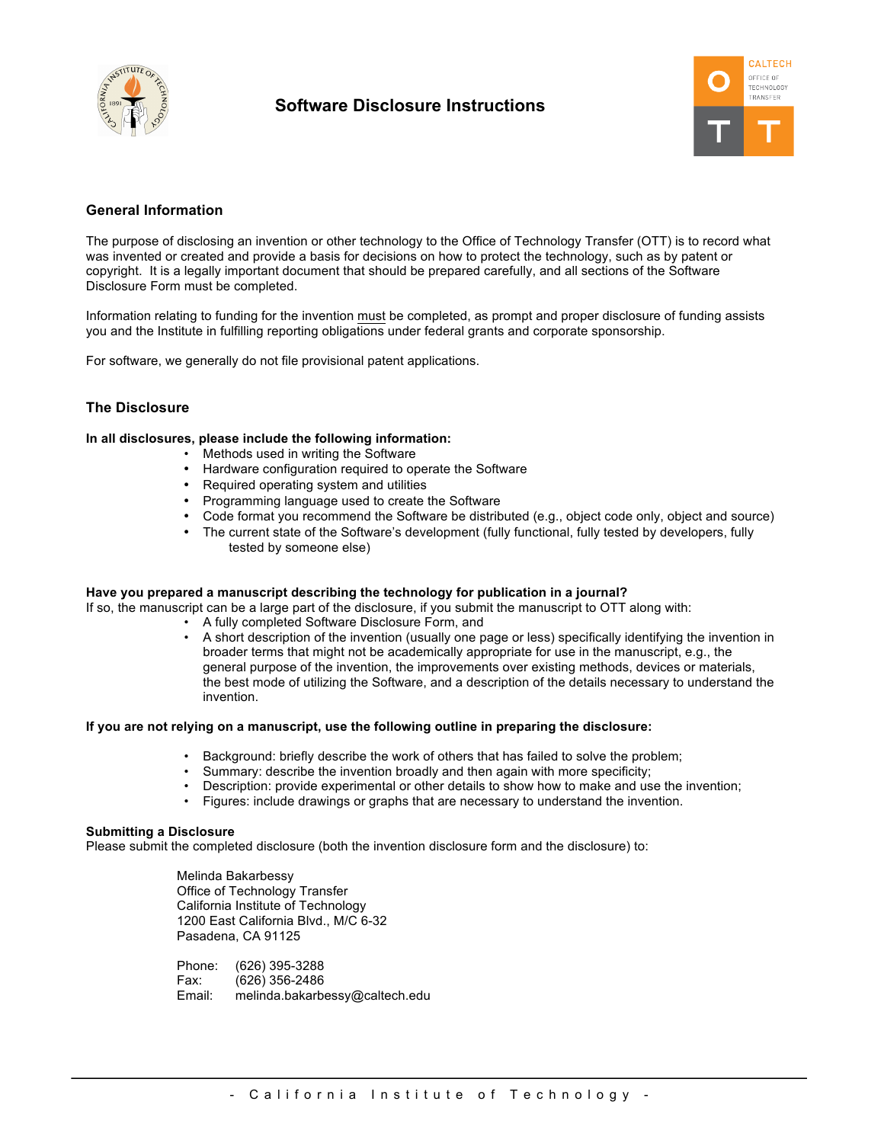

# **Software Disclosure Instructions**



## **General Information**

The purpose of disclosing an invention or other technology to the Office of Technology Transfer (OTT) is to record what was invented or created and provide a basis for decisions on how to protect the technology, such as by patent or copyright. It is a legally important document that should be prepared carefully, and all sections of the Software Disclosure Form must be completed.

Information relating to funding for the invention must be completed, as prompt and proper disclosure of funding assists you and the Institute in fulfilling reporting obligations under federal grants and corporate sponsorship.

For software, we generally do not file provisional patent applications.

#### **The Disclosure**

#### **In all disclosures, please include the following information:**

- Methods used in writing the Software
- Hardware configuration required to operate the Software
- Required operating system and utilities
- Programming language used to create the Software
- Code format you recommend the Software be distributed (e.g., object code only, object and source)
- The current state of the Software's development (fully functional, fully tested by developers, fully tested by someone else)

#### **Have you prepared a manuscript describing the technology for publication in a journal?**

If so, the manuscript can be a large part of the disclosure, if you submit the manuscript to OTT along with:

- A fully completed Software Disclosure Form, and
- A short description of the invention (usually one page or less) specifically identifying the invention in broader terms that might not be academically appropriate for use in the manuscript, e.g., the general purpose of the invention, the improvements over existing methods, devices or materials, the best mode of utilizing the Software, and a description of the details necessary to understand the invention.

#### **If you are not relying on a manuscript, use the following outline in preparing the disclosure:**

- Background: briefly describe the work of others that has failed to solve the problem;
- Summary: describe the invention broadly and then again with more specificity;
- Description: provide experimental or other details to show how to make and use the invention;
- Figures: include drawings or graphs that are necessary to understand the invention.

#### **Submitting a Disclosure**

Please submit the completed disclosure (both the invention disclosure form and the disclosure) to:

Melinda Bakarbessy Office of Technology Transfer California Institute of Technology 1200 East California Blvd., M/C 6-32 Pasadena, CA 91125

Phone: (626) 395-3288 Fax: (626) 356-2486 Email: melinda.bakarbessy@caltech.edu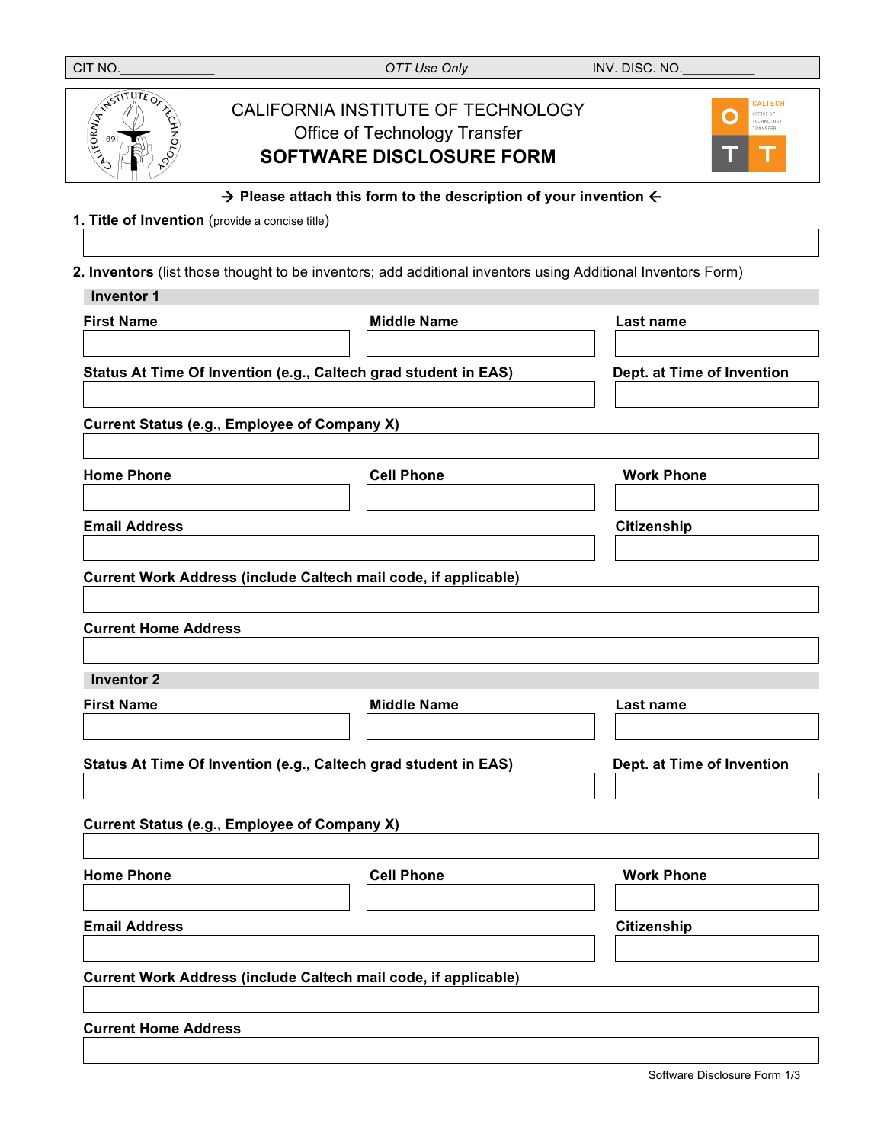| CIT NO.                                                                                       | OTT Use Only                                                                                                  | INV. DISC. NO.                                             |  |  |  |  |
|-----------------------------------------------------------------------------------------------|---------------------------------------------------------------------------------------------------------------|------------------------------------------------------------|--|--|--|--|
| ASSITUTE OF REGISTRATION                                                                      | CALIFORNIA INSTITUTE OF TECHNOLOGY<br><b>Office of Technology Transfer</b><br><b>SOFTWARE DISCLOSURE FORM</b> | <b>CALTECH</b><br>OFFICE OF<br>0<br>TECHNOLOGY<br>FRANSFER |  |  |  |  |
| $\rightarrow$ Please attach this form to the description of your invention $\leftarrow$       |                                                                                                               |                                                            |  |  |  |  |
| 1. Title of Invention (provide a concise title)                                               |                                                                                                               |                                                            |  |  |  |  |
|                                                                                               | 2. Inventors (list those thought to be inventors; add additional inventors using Additional Inventors Form)   |                                                            |  |  |  |  |
| <b>Inventor 1</b>                                                                             |                                                                                                               |                                                            |  |  |  |  |
| <b>First Name</b>                                                                             | <b>Middle Name</b>                                                                                            | Last name                                                  |  |  |  |  |
|                                                                                               |                                                                                                               |                                                            |  |  |  |  |
|                                                                                               | Status At Time Of Invention (e.g., Caltech grad student in EAS)                                               | Dept. at Time of Invention                                 |  |  |  |  |
|                                                                                               |                                                                                                               |                                                            |  |  |  |  |
|                                                                                               | <b>Current Status (e.g., Employee of Company X)</b>                                                           |                                                            |  |  |  |  |
| <b>Home Phone</b>                                                                             | <b>Cell Phone</b>                                                                                             | <b>Work Phone</b>                                          |  |  |  |  |
|                                                                                               |                                                                                                               |                                                            |  |  |  |  |
| <b>Email Address</b>                                                                          |                                                                                                               | Citizenship                                                |  |  |  |  |
|                                                                                               |                                                                                                               |                                                            |  |  |  |  |
|                                                                                               | Current Work Address (include Caltech mail code, if applicable)                                               |                                                            |  |  |  |  |
|                                                                                               |                                                                                                               |                                                            |  |  |  |  |
| <b>Current Home Address</b>                                                                   |                                                                                                               |                                                            |  |  |  |  |
| <b>Inventor 2</b>                                                                             |                                                                                                               |                                                            |  |  |  |  |
| <b>First Name</b>                                                                             | <b>Middle Name</b>                                                                                            | Last name                                                  |  |  |  |  |
|                                                                                               |                                                                                                               |                                                            |  |  |  |  |
| Status At Time Of Invention (e.g., Caltech grad student in EAS)<br>Dept. at Time of Invention |                                                                                                               |                                                            |  |  |  |  |
|                                                                                               |                                                                                                               |                                                            |  |  |  |  |
|                                                                                               | <b>Current Status (e.g., Employee of Company X)</b>                                                           |                                                            |  |  |  |  |
|                                                                                               |                                                                                                               |                                                            |  |  |  |  |
| <b>Home Phone</b>                                                                             | <b>Cell Phone</b>                                                                                             | <b>Work Phone</b>                                          |  |  |  |  |
|                                                                                               |                                                                                                               |                                                            |  |  |  |  |
| <b>Email Address</b>                                                                          |                                                                                                               | Citizenship                                                |  |  |  |  |
|                                                                                               |                                                                                                               |                                                            |  |  |  |  |
|                                                                                               | Current Work Address (include Caltech mail code, if applicable)                                               |                                                            |  |  |  |  |
|                                                                                               |                                                                                                               |                                                            |  |  |  |  |
| <b>Current Home Address</b>                                                                   |                                                                                                               |                                                            |  |  |  |  |
|                                                                                               |                                                                                                               |                                                            |  |  |  |  |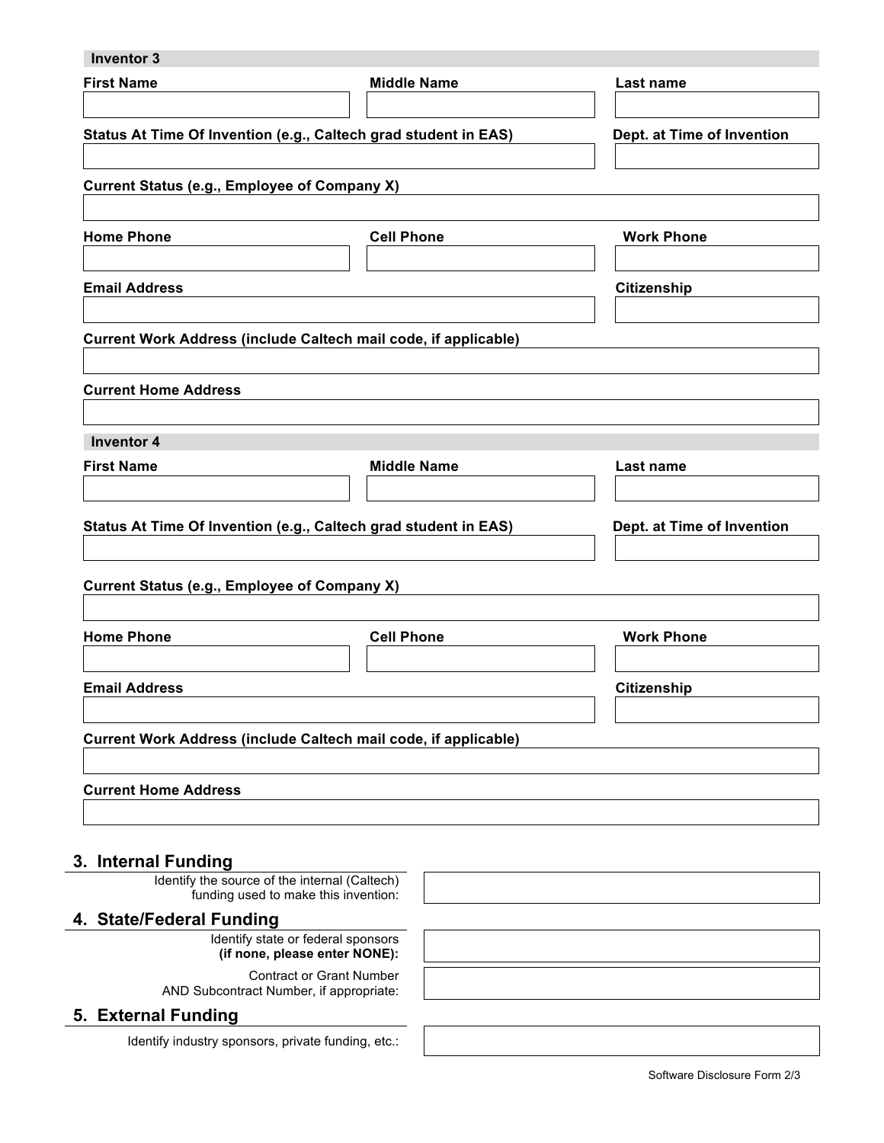| <b>Inventor 3</b>                                                                     |                            |                            |
|---------------------------------------------------------------------------------------|----------------------------|----------------------------|
| <b>First Name</b>                                                                     | <b>Middle Name</b>         | Last name                  |
|                                                                                       |                            |                            |
| Status At Time Of Invention (e.g., Caltech grad student in EAS)                       | Dept. at Time of Invention |                            |
|                                                                                       |                            |                            |
| <b>Current Status (e.g., Employee of Company X)</b>                                   |                            |                            |
| <b>Home Phone</b>                                                                     | <b>Cell Phone</b>          | <b>Work Phone</b>          |
|                                                                                       |                            |                            |
| <b>Email Address</b>                                                                  |                            | <b>Citizenship</b>         |
|                                                                                       |                            |                            |
| Current Work Address (include Caltech mail code, if applicable)                       |                            |                            |
|                                                                                       |                            |                            |
| <b>Current Home Address</b>                                                           |                            |                            |
| <b>Inventor 4</b>                                                                     |                            |                            |
| <b>First Name</b>                                                                     | <b>Middle Name</b>         | Last name                  |
|                                                                                       |                            |                            |
|                                                                                       |                            |                            |
| Status At Time Of Invention (e.g., Caltech grad student in EAS)                       |                            | Dept. at Time of Invention |
|                                                                                       |                            |                            |
| <b>Current Status (e.g., Employee of Company X)</b>                                   |                            |                            |
| <b>Home Phone</b>                                                                     | <b>Cell Phone</b>          | <b>Work Phone</b>          |
|                                                                                       |                            |                            |
| <b>Email Address</b>                                                                  |                            | <b>Citizenship</b>         |
|                                                                                       |                            |                            |
| Current Work Address (include Caltech mail code, if applicable)                       |                            |                            |
|                                                                                       |                            |                            |
| <b>Current Home Address</b>                                                           |                            |                            |
|                                                                                       |                            |                            |
| 3. Internal Funding                                                                   |                            |                            |
| Identify the source of the internal (Caltech)<br>funding used to make this invention: |                            |                            |
| 4. State/Federal Funding                                                              |                            |                            |
| Identify state or federal sponsors                                                    |                            |                            |
| (if none, please enter NONE):                                                         |                            |                            |
| <b>Contract or Grant Number</b><br>AND Subcontract Number, if appropriate:            |                            |                            |
| 5. External Funding                                                                   |                            |                            |

Identify industry sponsors, private funding, etc.: